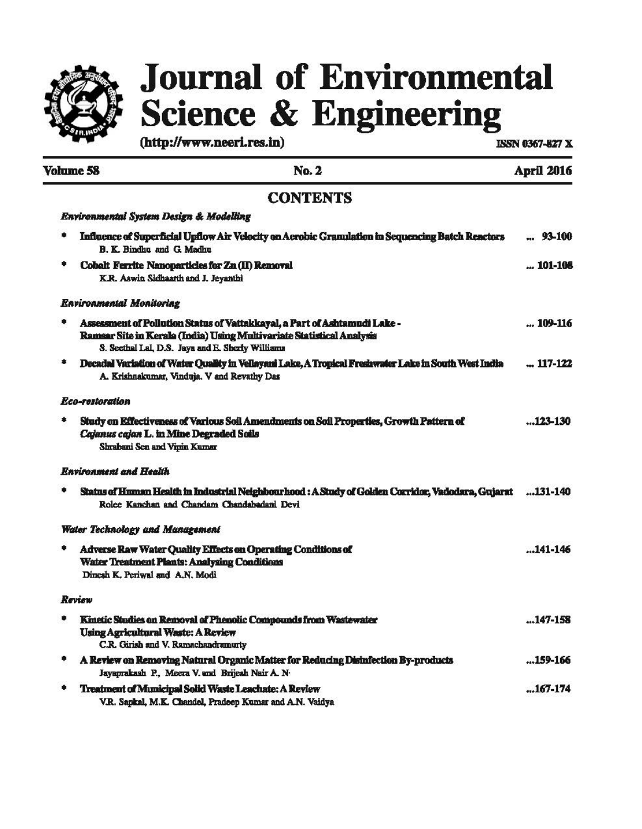

# **Journal of Environmental Science & Engineering**

 $(\text{http://www.neeri.res.in})$  ISSN 0367-827 X

|   | <b>Volume 58</b><br>No. 2                                                                                                                                                                              | April 2016 |
|---|--------------------------------------------------------------------------------------------------------------------------------------------------------------------------------------------------------|------------|
|   | <b>CONTENTS</b>                                                                                                                                                                                        |            |
|   | Environmental System Design & Modelling                                                                                                                                                                |            |
| ۰ | Influence of Superficial Upflow Air Velocity on Aerobic Gramulation in Sequencing Batch Reactors<br>B. K. Bindhu and G. Madhu                                                                          | $ 93-100$  |
|   | Cobalt Ferrite Nanoparticles for Zn (II) Removal<br>K.R. Aswin Sidhaarth and J. Jeyanthi                                                                                                               | $$ 101-108 |
|   | <b>Environmental Monitoring</b>                                                                                                                                                                        |            |
|   | Assessment of Pollution Status of Vattakkayal, a Part of Ashtamudi Lake -<br>Ramsar Site in Kerala (India) Using Multivariate Statistical Analysis<br>S. Secthal Lal, D.S. Jaya and E. Sherly Williams | 109-116    |
|   | Decadal Variation of Water Quality in Vellayani Lake, A Tropical Freshwater Lake in South West India<br>A. Krishnakumar, Vinduja. V and Revathy Das                                                    | $-117-122$ |
|   | Eco-restoration                                                                                                                                                                                        |            |
| ۰ | Study on Effectiveness of Various Soil Amendments on Soil Properties, Growth Pattern of<br>Cajanus cajan L. in Mine Degraded Soils<br>Shrabani Sen and Vipin Kumar                                     | 123-130    |
|   | <b>Ravironment and Health</b>                                                                                                                                                                          |            |
|   | Status of Human Health in Industrial Neighbourhood : A Study of Golden Corridor, Vadodara, Gujarat<br>Rolee Kanchan and Chandam Chandahadani Devi                                                      | 131-140    |
|   | <b>Water Technology and Management</b>                                                                                                                                                                 |            |
|   | Adverse Raw Water Quality Effects on Operating Conditions of<br><b>Water Treatment Plants: Analysing Conditions</b><br>Dinesh K. Periwal and A.N. Modi                                                 | $141-146$  |
|   | Review                                                                                                                                                                                                 |            |
|   | Kinetic Studies on Removal of Phenolic Compounds from Wastewater<br><b>Using Agricultural Waste: A Review</b><br>C.R. Girish and V. Ramachandramurty                                                   | $147-158$  |
|   | A Review on Removing Natural Organic Matter for Reducing Disinfection By-products<br>Jayaprakash P., Meera V. and Brijesh Nair A. N-                                                                   | 159-166    |
|   | Treatment of Municipal Solid Waste Leachate: A Review<br>V.R. Sapkal, M.K. Chandel, Pradeep Kumar and A.N. Vaidya                                                                                      | 167-174    |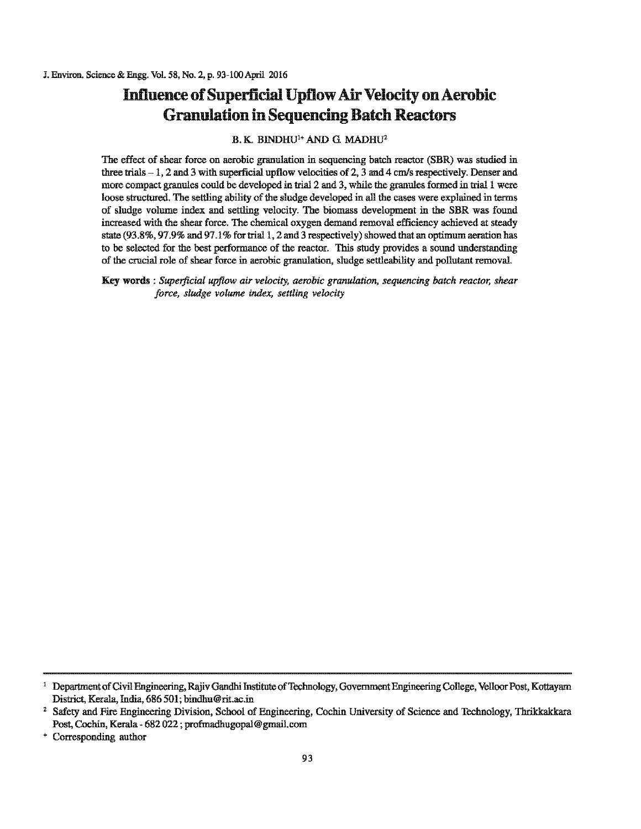## **Influence of Superficial Upflow Air Velocity on Aerobic Granulation in Sequencing Batch Reactors**

#### B. K. BINDHU<sup>1+</sup> AND G. MADHU<sup>2</sup>

The effect of shear force on aerobic granulation in sequencing batch reactor (SBR) was studied in three trials- 1, 2 and 3 with superficial upflow velocities of 2, 3 and 4 cm/s respectively. Denser and more compact granules could be developed in trial 2 and 3, while the granules formed in trial 1 were loose structured. The settling ability of the sludge developed in all the cases were explained in terms of sludge volume index and settling velocity. The biomass development in the SBR was found increased with the sbear force. The chemical oxygen demand removal efficiency achieved at steady state (93.8%, 97.9% and 97.1% for trial 1, 2 and 3 respectively) showed that an optimum aeration has to be selected for the best performance of the reactor. This study provides a sound understanding of the crucial role of shear force in aerobic granulation, sludge settleability and pollutant removal.

Key words : *Superficial upflow air velocity, aerobic granulation, sequencing batch reactor, shear force, sludge volume index, settling velocity* 

<sup>&</sup>lt;sup>1</sup> Department of Civil Engineering, Rajiv Gandhi Institute of Technology, Government Engineering College, Velloor Post, Kottayam District, Kerala, India, 686 501; bindhu@rit.ac.in 2 Safety and Fire Engineering Division, School of Engineering, Cochin University of Science and Technology, Thrikkakkara

Post, Cochin, Kerala - 682 022 ; profmadhugopal@ gmail.com

<sup>•</sup> Corresponding author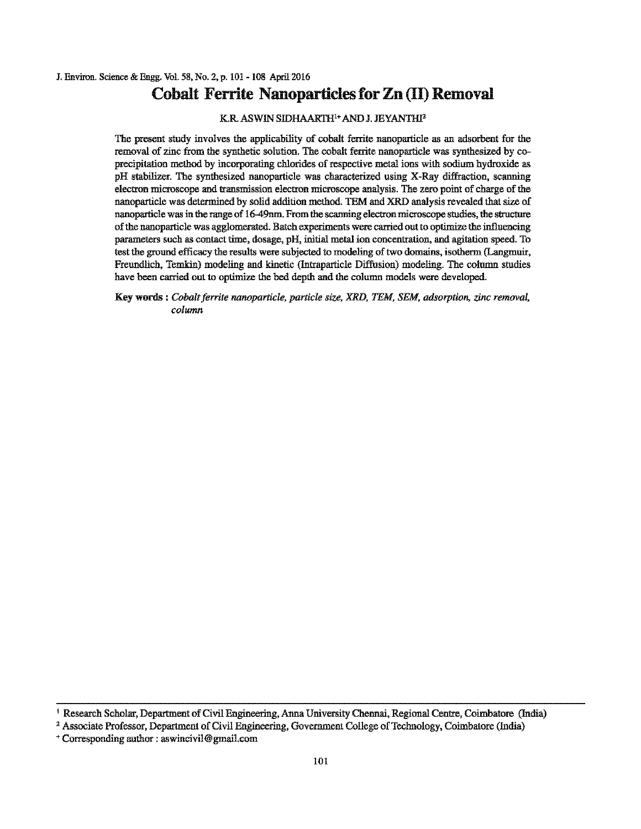### **Cobalt Ferrite Nanoparticles for Zn** (II) **Removal**

K.R ASWIN SIDHAARTH1 • AND J. JEYANTHI'

The present stndy involves the applicability of cobalt ferrite nanoparticle as an adsorbent for the removal of zinc from the synthetic solution. The cobalt ferrite nanoparticle was synthesized by coprecipitation method by incorporating chlorides of respective metal ions with sodium hydroxide as pH stabilizer. The synthesized nanoparticle was characterized usiog X-Ray diffraction, scanning electron microscope and transmission electron microscope analysis. The zero point of charge of the nanoparticle was determined by solid addition method. TEM and XRD analysis revealed that size of nanoparticle was io the range of 16-49nm. From the scanning electron microscope stndies, the structnre ofthe nanoparticle was agglomerated. Batch experiments were carried out to optimize the influencing parameters such as contact lime, dosage, pH, initial metal ion concentration, and agitation speed. To test the ground efficacy the results were subjected to modeling oftwo domains, isotherm (Langmuir, Freundlich, Temkin) modeling and kinetic (Intraparticle Diffusion) modeling. The column studies have been carried out to optimize the bed depth and the column models were developed.

Key words : *Cobalt ferrite nanoparticle, particle size, XRD, TEM, SEM, adsorption, zinc removal*, *column* 

<sup>&</sup>lt;sup>1</sup> Research Scholar, Department of Civil Engineering, Anna University Chennai, Regional Centre, Coimbatore (India)  $2$  Associate Professor, Department of Civil Engineering, Government College of Technology, Coimbatore (I

<sup>+</sup>Corresponding author : aswincivil@ gmail.com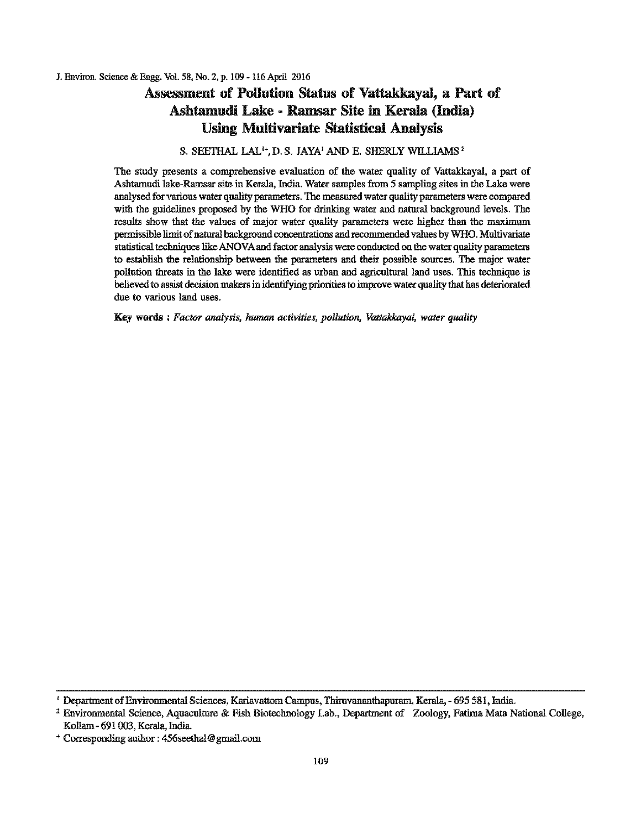### Assessment of Pollution Status of Vattakkayal, a Part of Ashtamudi Lake- Ramsar Site in Kerala (India) Using Multivariate Statistical Analysis

### S. SEETHAL LAL'•, D. S. JAYA' AND E. SHERLY WILLIAMS'

The study presents a comprehensive evaluation of the water quality of Vattakkayal, a part of Ashtamudi lake-Ramsar site in Kerala, India. Water samples from 5 sampling sites in the Lake were analysed for various water quality parameters. The measured water quality parameters were compared with the guidelines proposed by the WHO for drinking water and natural background levels. The results show that the values of major water quality parameters were higher than the maximum permissible limit ofnatural background concentrations and recommended values by WHO. Multivariate statistical techniques like ANOVA and factor analysis were conducted on the water quality parameters to establish the relationship between the parameters and their possible sources. The major water pollution threats in the lake were identified as urban and agricultural land uses. This technique is believed to assist decision makers in identifying priorities to improve water quality that has deteriorated due to various land uses.

Key words : *Factor analysis, human activities, pollution, Vattakkayal, water quality* 

<sup>&</sup>lt;sup>1</sup> Department of Environmental Sciences, Kariavattom Campus, Thiruvananthapuram, Kerala, - 695 581, India.<br><sup>2</sup> Environmental Science, Aquaculture & Fish Biotechnology Lab., Department of Zoology, Fatima Mata National Coll Kollam - 691 003, Kerala, India.

<sup>•</sup> Corresponding author : 456seelhal@ gmail.com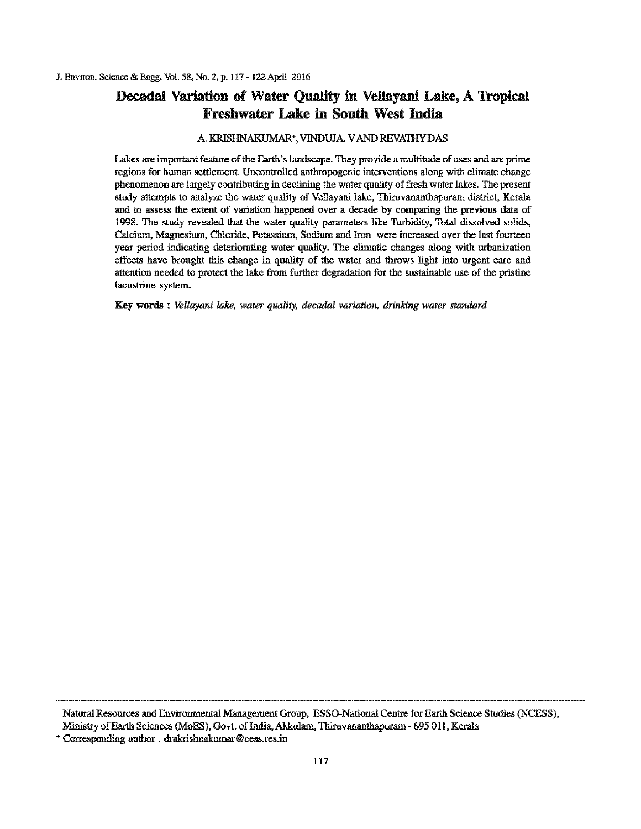### Decadal Variation of Water Quality in Vellayani Lake, A Tropical Freshwater Lake in South West India

#### A. KRISHNAKUMAR•, VJNDUJA. VAND REVATIIYDAS

Lakes are important feature of the Earth's landscape. They provide a multitude of uses and are prime regions for human settlement. Uncontrolled anthropogenic interventions along with climate change phenomenon are largely contributing in declining the water quality of fresh water lakes. The present study attempts to analyze the water quality of Vellayani lake, Thiruvananthapuram district, Kerala and to assess the extent of variation happened over a decade by comparing the previous data of 1998. The study revealed that the water quality parameters like Turbidity, Total dissolved solids, Calcium, Magnesium, Chloride, Potassium, Sodium and Iron were increased over the last fourteen year period indicating deteriorating water quality. The climatic changes along with urbanization effects have brought tbis change in quality of the water and throws light into urgent care and attention needed to protect the lake from further degradation for the sustainable use of the pristine lacustrine system.

Key words : *Vellayani lake, water quality, decadal variation, drinking water standard* 

Narural Resources and Environmental Management Group, ESSO-National Centre for Earth Science Studies (NCESS), Ministry of Earth Sciences (MoES), Govt. of India, Akkulam, Thiruvananthapuram - 695 011, Kerala

<sup>+</sup>Corresponding author: drakrishnakumar@cess.res.in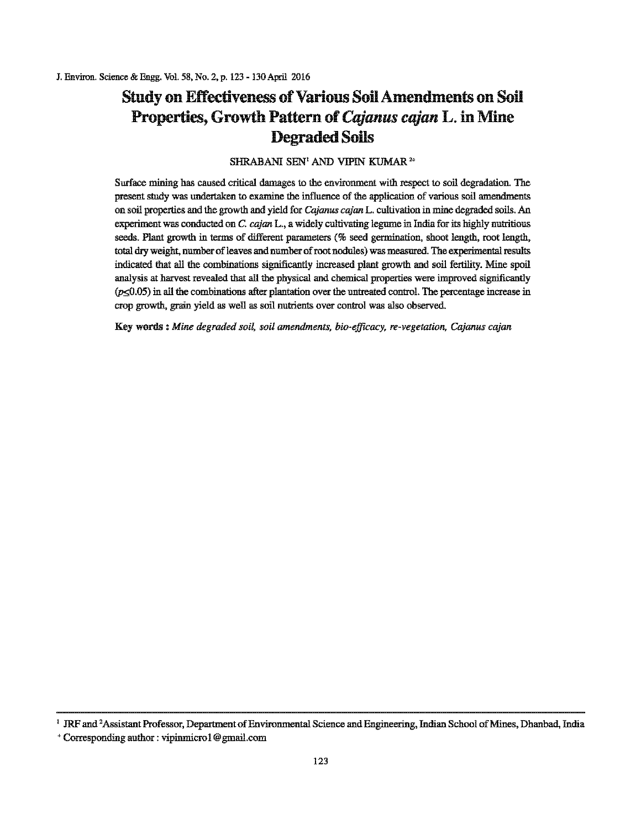# Study on Effectiveness of Various Soil Amendments on Soil Properties, Growth Pattern of*Cajanus cajan* L. in Mine Degraded Soils

### SHRABANI SEN<sup>1</sup> AND VIPIN KUMAR<sup>2+</sup>

Surface mining has caused critical damages to the environment with respect to soil degradation. The present study was undertaken to examine the influence of the application of various soil amendments on soil properties and the growth and yield for *Cajanus cajan* L. cultivation in mine degraded soils. An experiment was conducted on C. cajan L., a widely cultivating legume in India for its highly nutritious seeds. Plant growth in terms of different parameters (% seed germination, shoot length, root length, total dry weight, number of leaves and number of root nodules) was measured. The experimental results indicated that all the combinations significantly increased plant growth and soil fertility. Mine spoil analysis at harvest revealed that all the physical and chemical properties were improved significantly  $(p \le 0.05)$  in all the combinations after plantation over the untreated control. The percentage increase in crop growth, grain yield as well as soil nutrients over control was also observed.

Key words *:Mine degraded soil, soil amendments, bio-efficacy, re-vegetation, Cajanus cajan* 

<sup>&</sup>lt;sup>1</sup> JRF and <sup>2</sup>Assistant Professor, Department of Environmental Science and Engineering, Indian School of Mines, Dhanbad, India

<sup>+</sup>Corresponding author : vipinmicro I@grnail.com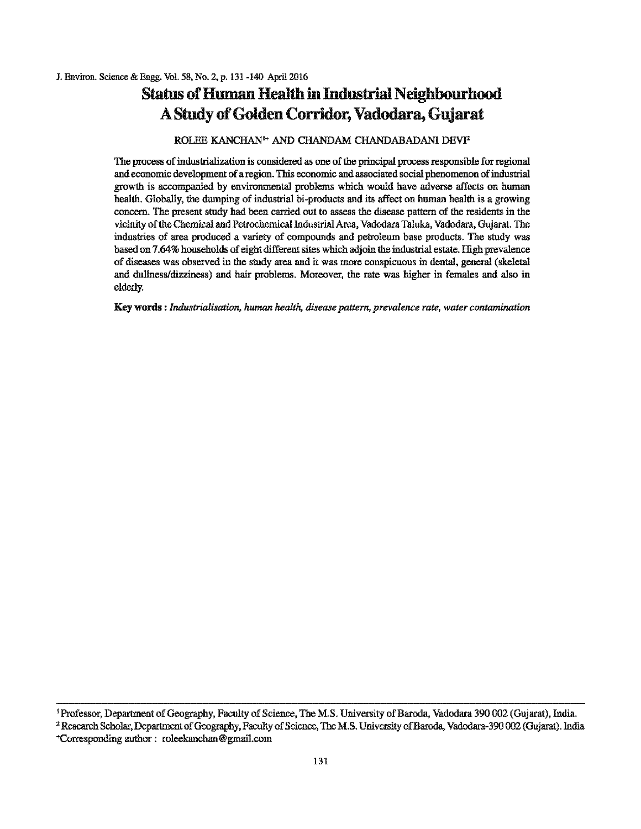# **Status of Human Health in Industrial Neighbourhood** A Study of Golden Corridor, Vadodara, Gujarat

#### ROLEE KANCHAN<sup>1+</sup> AND CHANDAM CHANDABADANI DEVI<sup>2</sup>

The process of industrialization is considered as one of the principal process responsible for regional and economic development of a region. This economic and associated social phenomenon ofindustrial growth is accompanied by environmental problems which would have adverse affects on human health. Globally, the dumping of industrial hi-products and its affect on human health is a growing concern. The present study had been carried out to assess the disease pattern of the residents in the vicinity of the Chemical and Petrochemical Industrial Area, Vadodara Taluka, Vadodara, Gujarat. The industries of area produced a variety of compounds and petroleum base products. The study was based on 7.64% households of eight different sites which adjoin the industrial estate. High prevalence of diseases was observed in the study area and it was more conspicuous in denial, general (skelelal and dullness/dizziness) and hair problems. Moreover, the rate was higher in females and also in elderly.

**Key words :** *Industrialisation. human health, disease pattern. prevalence rate, water contamination* 

<sup>&</sup>lt;sup>1</sup> Professor, Department of Geography, Faculty of Science, The M.S. University of Baroda, Vadodara 390 002 (Gujarat), India.<br><sup>2</sup> Research Scholar, Department of Geography, Faculty of Science, The M.S. University of Baroda

<sup>+</sup>Corresponding author : roleekanchan@ gmail.com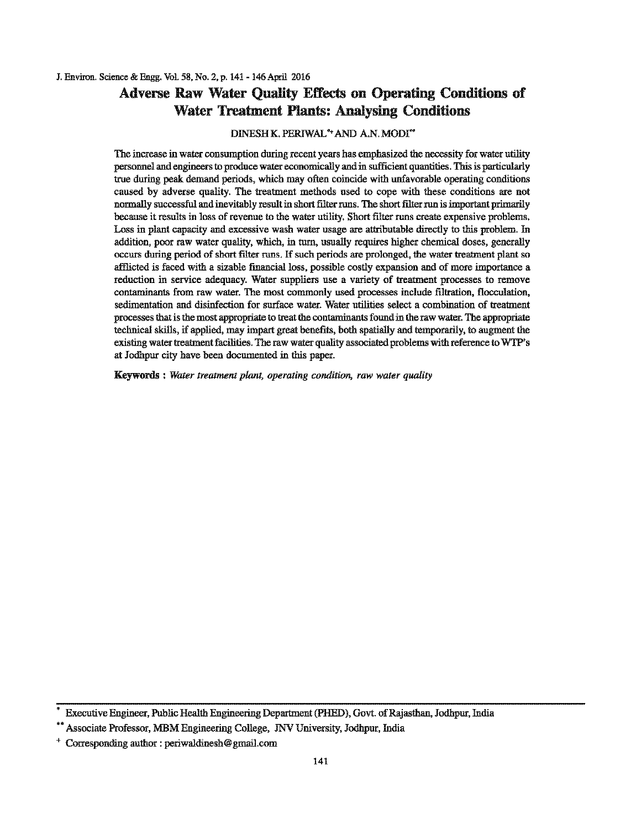### Adverse Raw Water Quality Effects on Operating Conditions of Water Treatment Plants: Analysing Conditions

#### DINESH K. PERIWAL<sup>\*+</sup> AND A.N. MODI"\*

The increase in water consumption during recent years has emphasized the necessity for water utility personnel and engineers tc produce water economically and in sufficient quantities. This is particularly true during peak demand petiods, which may often coincide with unfavorable operating conditions caused by adverse quality. The treatment methods used to cope with these conditions are not normally successful and inevitably result in short filter runs. The short filter run is important primarily because it results in loss of revenue to the water utility. Short filter runs create expensive problems. Loss in plant capacity and excessive wash water usage are attributable directly to this problem. In addition, poor raw water quality, which, in tum, usually requires higher chemical doses, generally occurs during period of short filter runs. If such periods are prolonged, the water treatment plant so afflicted is faced with a sizable financial loss, possible costly expansion and of more importance a reduction in service adequacy. Water suppliers use a variety of treatment processes to remove contaminants from raw water. The most commonly used processes include filtration, flocculation, sedimentation and disinfection for surface water. Water utilities select a combination of treatment processes that is the most appropriate to treat the contaminants found in the raw water. The appropriate technical skills, if applied, may impart great benefits, both spatially and temporarily, to augment the existing water treatment facilities. The raw water quality associated problems with reference to WTP's at Jodhpur city have been documented in this paper.

Keywords : *Water treatment plant, operating condition, raw water quality* 

Executive Engineer, Public Health Engineering Department (PHED), Govt. of Rajasthan, Jodhpur, India

<sup>\*\*</sup> Associate Professor, MBM Engineering College, JNV University, Jodhpur, India

<sup>+</sup> Corresponding author : periwaldinesh@ gmail.com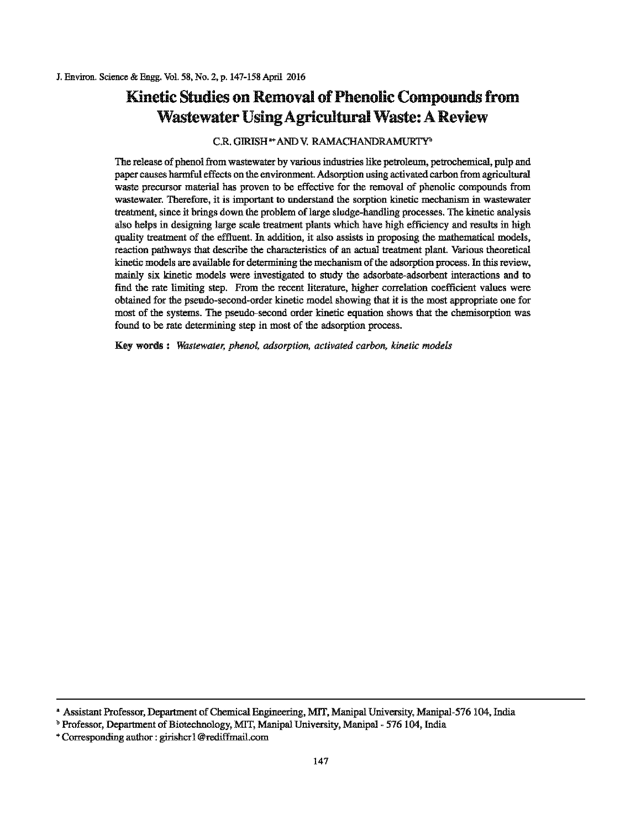# Kinetic Studies on Removal of Phenolic Compounds from Wastewater Using Agricultural Waste: A Review

#### C.R. GIRISH••AND V. RAMACHANDRAMURTY"

The release of phenol from wastewater by various industries like petroleum, petrochemical, pulp and paper causes harmful effects on the environment Adsorption using activated carbon from agricultural waste precursor material has proven to be effective for the removal of phenolic compounds from wastewater. Therefore, it is important to understand the sorption kinetic mechanism in wastewater treatment, since it brings down the problem of large sludge-handling processes. The kinetic analysis also helps in designing large scale treatment plants which have high efficiency and results in high quality treatment of the effluent. In addition, it also assists in proposing the mathematical models, reaction pathways that describe the characteristics of an actual treatment plant. Various theoretical kinetic models are available for determining the mechanism of the adsorption process. In this review, mainly six kinetic models were investigated to study the adsorbate-adsorbent interactions and to find the rate limiting step. From the recent literature, higher correlation coefficient values were obtained for the pseudo-second-order kinetic model showing that it is the most appropriate one for most of the systems. The pseudo-second order kinetic equation shows that the chemisorption was found to be rate determining step in most of the adsorption process.

Key words : *Wastewater, phenol, adsorption, activated carbon, kinetic models* 

<sup>•</sup> Assistant Professor, Department ofChemical Engineering, MIT, Manipal University, Manipal-576 104, India

<sup>&</sup>lt;sup>b</sup> Professor, Department of Biotechnology, MIT, Manipal University, Manipal - 576 104, India

<sup>•</sup> Corresponding author : girishcr 1 @rediffmail.com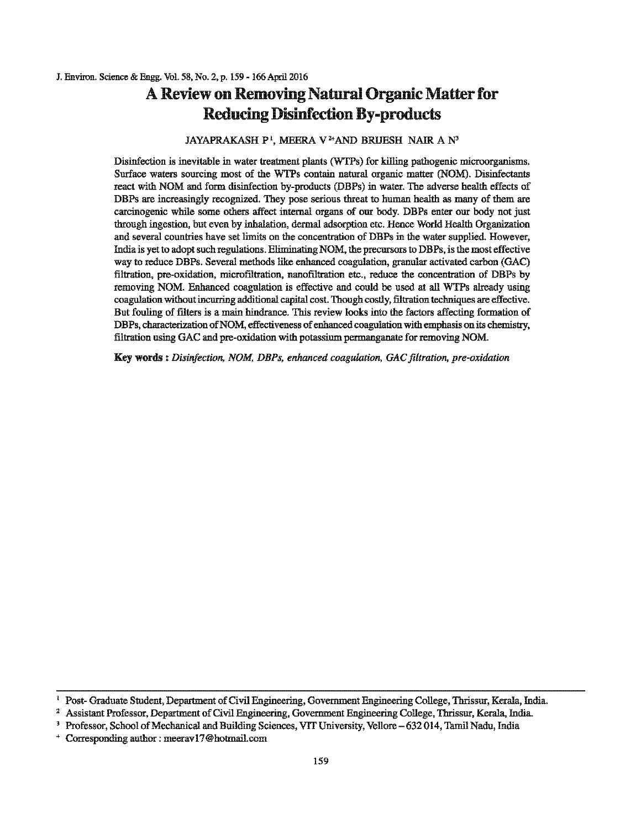## **A Review on Removing Natural Organic Matter for Reducing Disinfection By-products**

### JAYAPRAKASH P', MEERA V<sup>2+</sup>AND BRUESH NAIR A $\mathrm{N}^3$

Disinfection is inevitable in water treatment plants (WTPs) for killing pathogenic microorganisms. Surface waters sourcing most of the WTPs contain natnral organic matter (NOM). Disinfectants react with NOM and form disinfection by-products (DBPs) in water. The adverse health effects of DBPs are increasingly recognized. They pose serious threat to human health as many of them are carcinogenic while some others affect internal organs of our body. DBPs enter our body not just through ingestion, but even hy inhalation, dermal adsorption etc. Hence World Health Organization and several couutties have set limits on the concentration of DBPs in the water supplied. However, India is yet to adopt such regulations. Eliminating NOM, the precursors to DBPs, is the most effective way to reduce DBPs. Several methods like enhanced coagulation, granular activated carbon (GAC) filtration, pre-oxidation, rnicrofiltration, nanofiltration etc., reduce the concentration of DBPs by removing NOM. Enhanced coagulation is effective and could be used at all WTPs already using coagulation without incurring additional capital cost. Though costly, filtration techniques are effective. But fouling of filters is a main hindrance. This review looks into the factors affecting formation of DBPs, characterization of NOM, effectiveness of enhanced coagulation with emphasis on its chemistry, filtration using GAC and pre-oxidation with potassium permanganate for removing NOM.

Key worda : *Disinfection, NOM, DBPs, enhanced coagulation, GAC filtration, pre-oxidation* 

Post-Graduate Student, Department of Civil Engineering, Government Engineering College, Thrissur, Kerala, India.<br>
<sup>2</sup> Assistant Professor, Department of Civil Engineering, Government Engineering College, Thrissur, Kerala,

<sup>+</sup>Corresponding author: meeravl7@hotmail.com